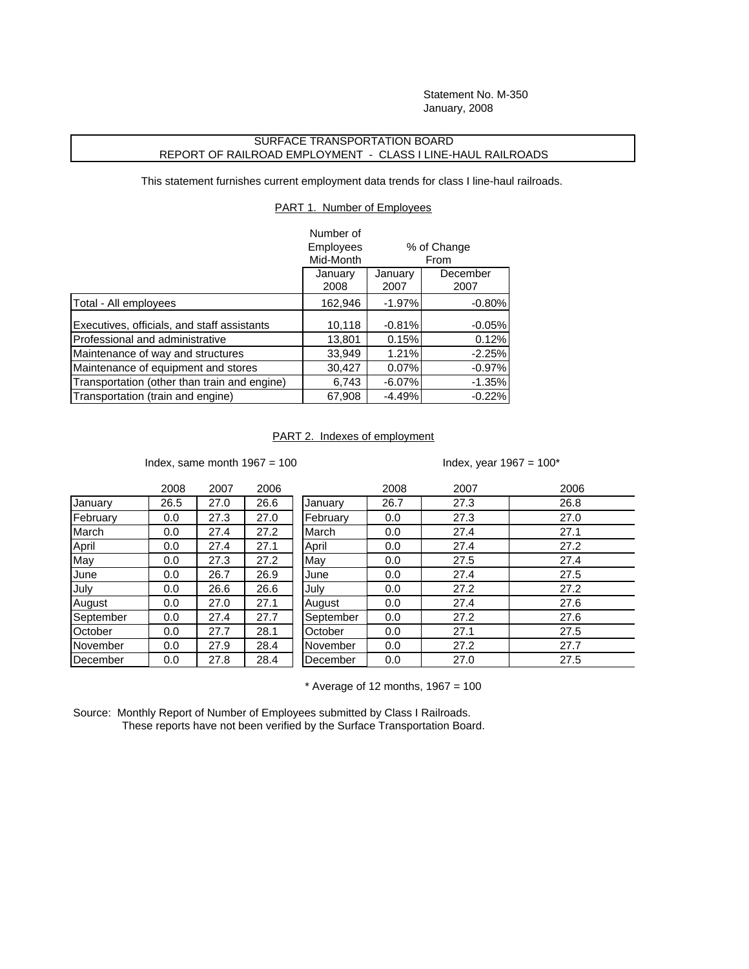Statement No. M-350 January, 2008

## SURFACE TRANSPORTATION BOARD REPORT OF RAILROAD EMPLOYMENT - CLASS I LINE-HAUL RAILROADS

This statement furnishes current employment data trends for class I line-haul railroads.

PART 1. Number of Employees

|                                              | Number of<br><b>Employees</b><br>% of Change |                 |                  |  |
|----------------------------------------------|----------------------------------------------|-----------------|------------------|--|
|                                              | Mid-Month                                    | From            |                  |  |
|                                              | January<br>2008                              | January<br>2007 | December<br>2007 |  |
| Total - All employees                        | 162,946                                      | $-1.97%$        | $-0.80%$         |  |
| Executives, officials, and staff assistants  | 10,118                                       | $-0.81%$        | $-0.05%$         |  |
| Professional and administrative              | 13,801                                       | 0.15%           | 0.12%            |  |
| Maintenance of way and structures            | 33,949                                       | 1.21%           | $-2.25%$         |  |
| Maintenance of equipment and stores          | 30,427                                       | 0.07%           | $-0.97%$         |  |
| Transportation (other than train and engine) | 6,743                                        | $-6.07%$        | $-1.35%$         |  |
| Transportation (train and engine)            | 67,908                                       | $-4.49%$        | $-0.22%$         |  |

## PART 2. Indexes of employment

Index, same month  $1967 = 100$  Index, year  $1967 = 100*$ 

|           | 2008 | 2007 | 2006 |           | 2008 | 2007 | 2006 |
|-----------|------|------|------|-----------|------|------|------|
| January   | 26.5 | 27.0 | 26.6 | January   | 26.7 | 27.3 | 26.8 |
| February  | 0.0  | 27.3 | 27.0 | February  | 0.0  | 27.3 | 27.0 |
| March     | 0.0  | 27.4 | 27.2 | March     | 0.0  | 27.4 | 27.1 |
| April     | 0.0  | 27.4 | 27.1 | April     | 0.0  | 27.4 | 27.2 |
| May       | 0.0  | 27.3 | 27.2 | May       | 0.0  | 27.5 | 27.4 |
| June      | 0.0  | 26.7 | 26.9 | June      | 0.0  | 27.4 | 27.5 |
| July      | 0.0  | 26.6 | 26.6 | July      | 0.0  | 27.2 | 27.2 |
| August    | 0.0  | 27.0 | 27.1 | August    | 0.0  | 27.4 | 27.6 |
| September | 0.0  | 27.4 | 27.7 | September | 0.0  | 27.2 | 27.6 |
| October   | 0.0  | 27.7 | 28.1 | October   | 0.0  | 27.1 | 27.5 |
| November  | 0.0  | 27.9 | 28.4 | November  | 0.0  | 27.2 | 27.7 |
| December  | 0.0  | 27.8 | 28.4 | December  | 0.0  | 27.0 | 27.5 |

 $*$  Average of 12 months, 1967 = 100

Source: Monthly Report of Number of Employees submitted by Class I Railroads. These reports have not been verified by the Surface Transportation Board.